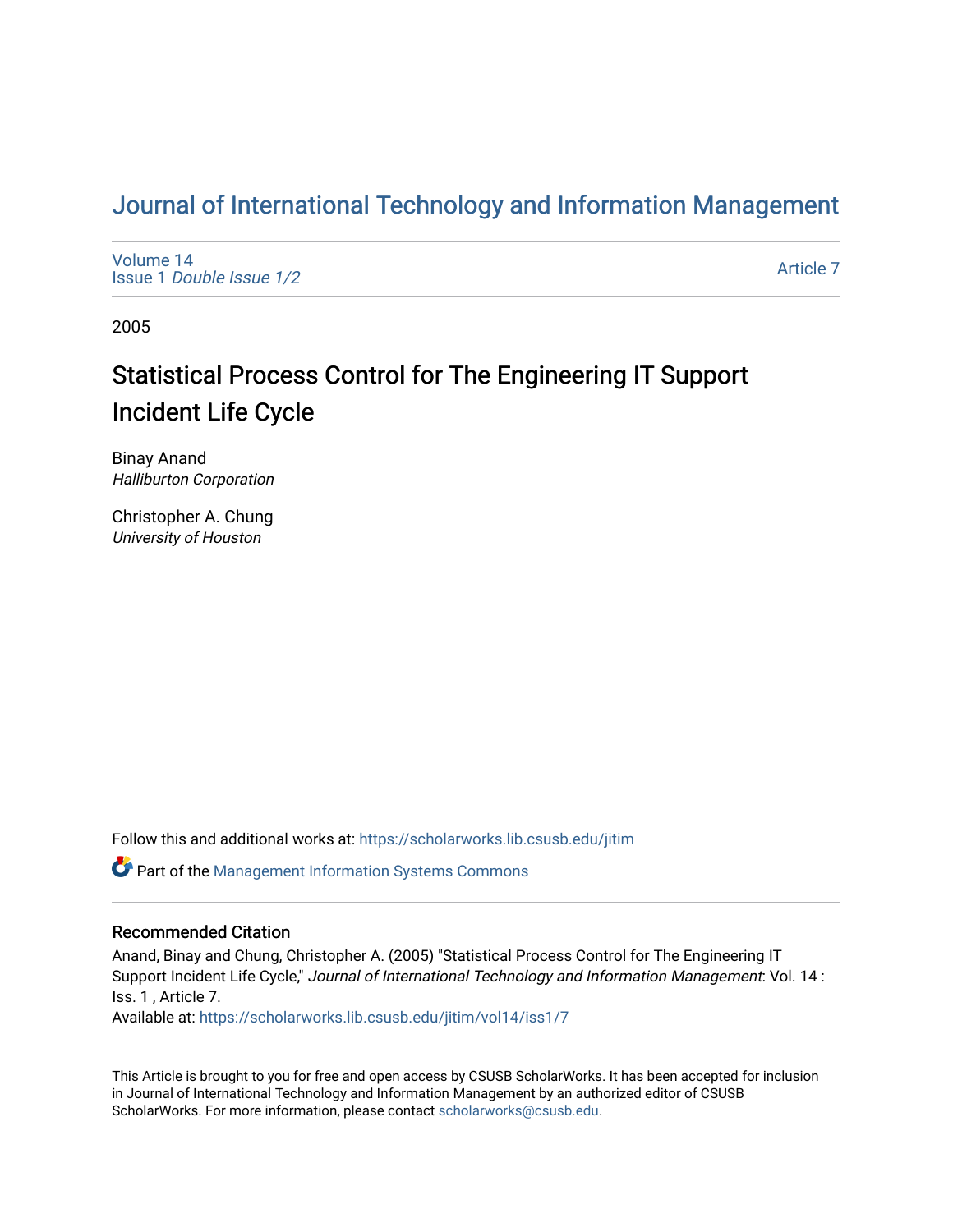# [Journal of International Technology and Information Management](https://scholarworks.lib.csusb.edu/jitim)

[Volume 14](https://scholarworks.lib.csusb.edu/jitim/vol14) Issue 1 [Double Issue 1/2](https://scholarworks.lib.csusb.edu/jitim/vol14/iss1) 

[Article 7](https://scholarworks.lib.csusb.edu/jitim/vol14/iss1/7) 

2005

# Statistical Process Control for The Engineering IT Support Incident Life Cycle

Binay Anand Halliburton Corporation

Christopher A. Chung University of Houston

Follow this and additional works at: [https://scholarworks.lib.csusb.edu/jitim](https://scholarworks.lib.csusb.edu/jitim?utm_source=scholarworks.lib.csusb.edu%2Fjitim%2Fvol14%2Fiss1%2F7&utm_medium=PDF&utm_campaign=PDFCoverPages) 

Part of the [Management Information Systems Commons](http://network.bepress.com/hgg/discipline/636?utm_source=scholarworks.lib.csusb.edu%2Fjitim%2Fvol14%2Fiss1%2F7&utm_medium=PDF&utm_campaign=PDFCoverPages) 

# Recommended Citation

Anand, Binay and Chung, Christopher A. (2005) "Statistical Process Control for The Engineering IT Support Incident Life Cycle," Journal of International Technology and Information Management: Vol. 14 : Iss. 1 , Article 7.

Available at: [https://scholarworks.lib.csusb.edu/jitim/vol14/iss1/7](https://scholarworks.lib.csusb.edu/jitim/vol14/iss1/7?utm_source=scholarworks.lib.csusb.edu%2Fjitim%2Fvol14%2Fiss1%2F7&utm_medium=PDF&utm_campaign=PDFCoverPages) 

This Article is brought to you for free and open access by CSUSB ScholarWorks. It has been accepted for inclusion in Journal of International Technology and Information Management by an authorized editor of CSUSB ScholarWorks. For more information, please contact [scholarworks@csusb.edu.](mailto:scholarworks@csusb.edu)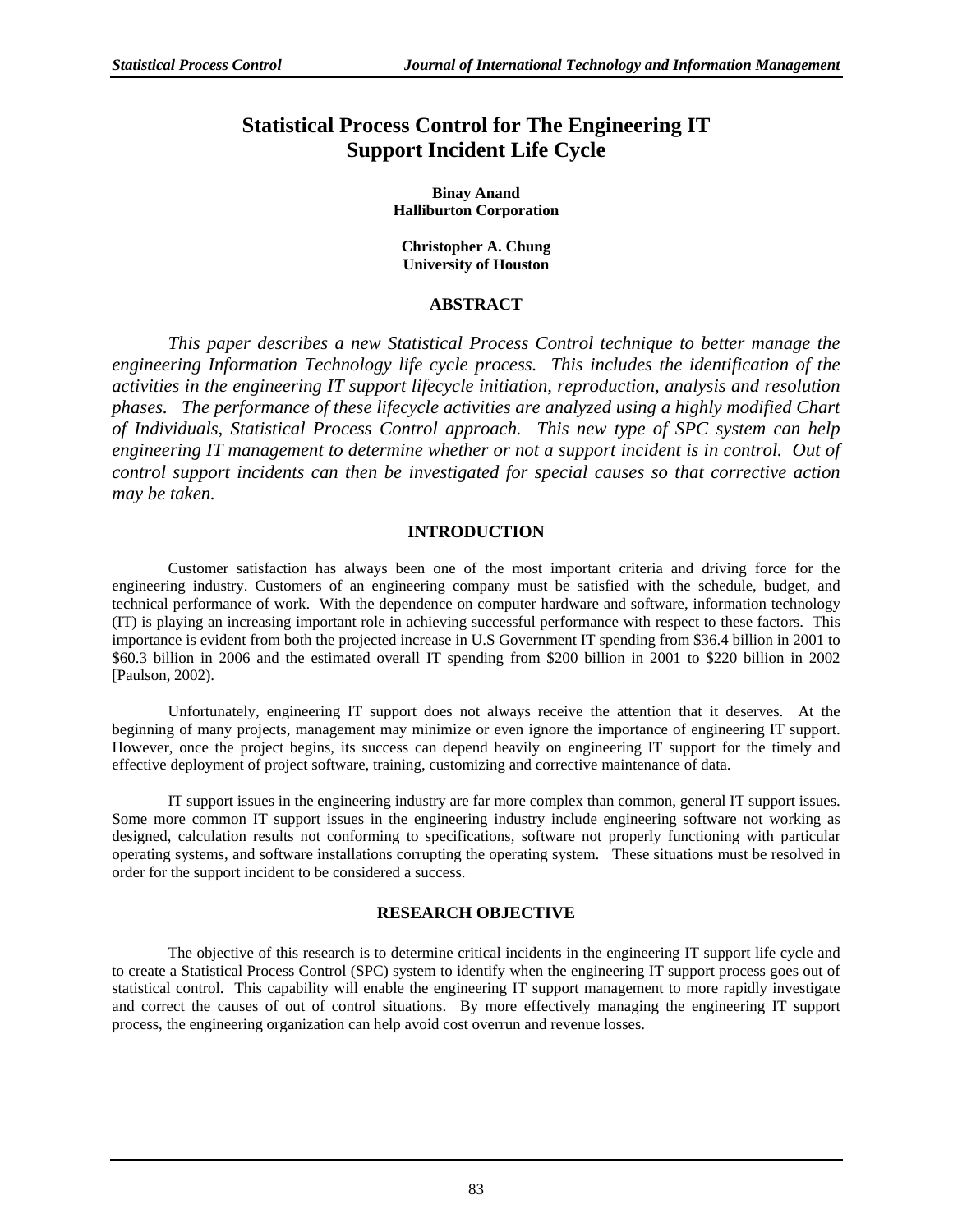# **Statistical Process Control for The Engineering IT Support Incident Life Cycle**

**Binay Anand Halliburton Corporation** 

#### **Christopher A. Chung University of Houston**

# **ABSTRACT**

*This paper describes a new Statistical Process Control technique to better manage the engineering Information Technology life cycle process. This includes the identification of the activities in the engineering IT support lifecycle initiation, reproduction, analysis and resolution phases. The performance of these lifecycle activities are analyzed using a highly modified Chart of Individuals, Statistical Process Control approach. This new type of SPC system can help engineering IT management to determine whether or not a support incident is in control. Out of control support incidents can then be investigated for special causes so that corrective action may be taken.*

# **INTRODUCTION**

Customer satisfaction has always been one of the most important criteria and driving force for the engineering industry. Customers of an engineering company must be satisfied with the schedule, budget, and technical performance of work. With the dependence on computer hardware and software, information technology (IT) is playing an increasing important role in achieving successful performance with respect to these factors. This importance is evident from both the projected increase in U.S Government IT spending from \$36.4 billion in 2001 to \$60.3 billion in 2006 and the estimated overall IT spending from \$200 billion in 2001 to \$220 billion in 2002 [Paulson, 2002).

Unfortunately, engineering IT support does not always receive the attention that it deserves. At the beginning of many projects, management may minimize or even ignore the importance of engineering IT support. However, once the project begins, its success can depend heavily on engineering IT support for the timely and effective deployment of project software, training, customizing and corrective maintenance of data.

IT support issues in the engineering industry are far more complex than common, general IT support issues. Some more common IT support issues in the engineering industry include engineering software not working as designed, calculation results not conforming to specifications, software not properly functioning with particular operating systems, and software installations corrupting the operating system. These situations must be resolved in order for the support incident to be considered a success.

# **RESEARCH OBJECTIVE**

The objective of this research is to determine critical incidents in the engineering IT support life cycle and to create a Statistical Process Control (SPC) system to identify when the engineering IT support process goes out of statistical control. This capability will enable the engineering IT support management to more rapidly investigate and correct the causes of out of control situations. By more effectively managing the engineering IT support process, the engineering organization can help avoid cost overrun and revenue losses.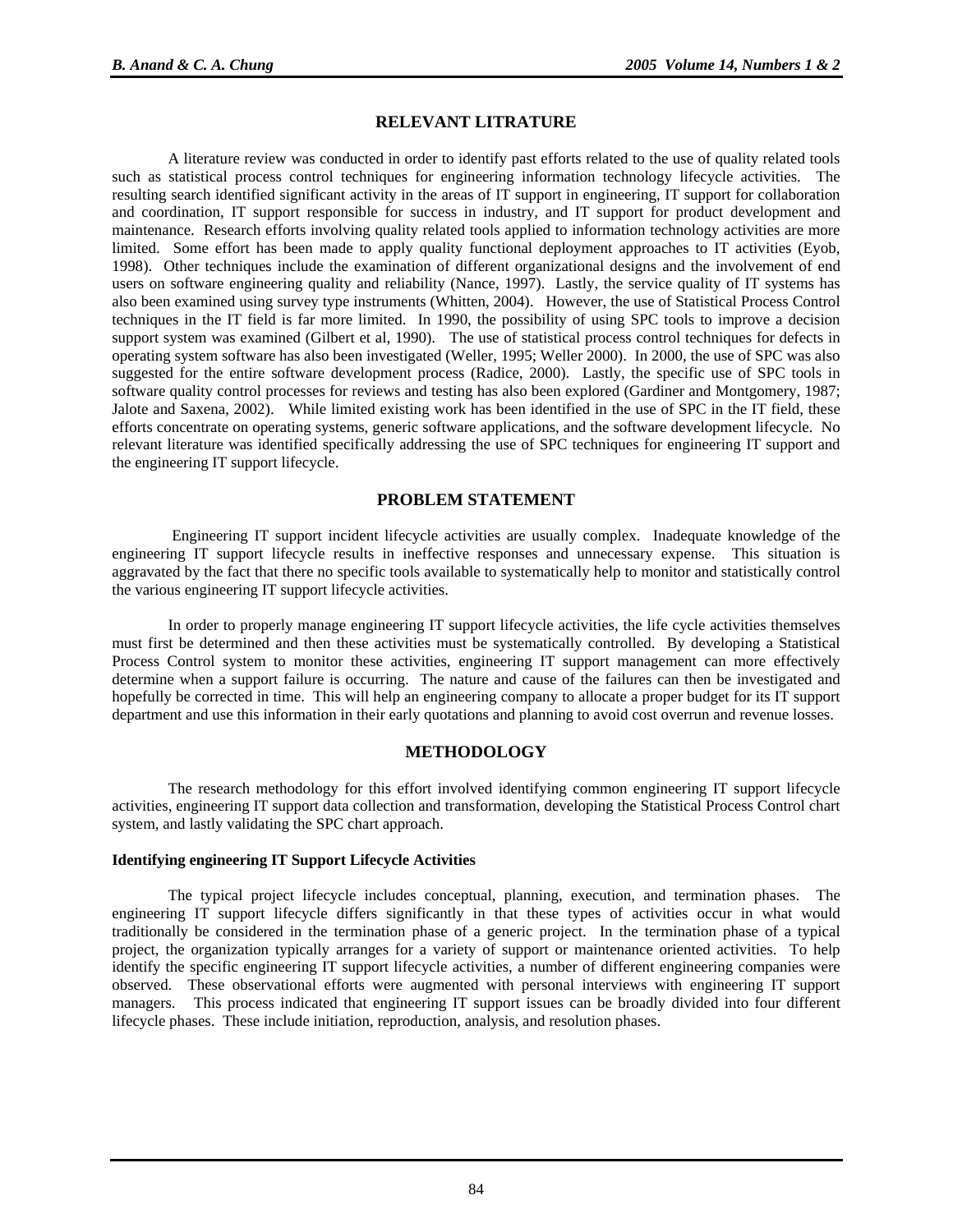#### **RELEVANT LITRATURE**

A literature review was conducted in order to identify past efforts related to the use of quality related tools such as statistical process control techniques for engineering information technology lifecycle activities. The resulting search identified significant activity in the areas of IT support in engineering, IT support for collaboration and coordination, IT support responsible for success in industry, and IT support for product development and maintenance. Research efforts involving quality related tools applied to information technology activities are more limited. Some effort has been made to apply quality functional deployment approaches to IT activities (Eyob, 1998). Other techniques include the examination of different organizational designs and the involvement of end users on software engineering quality and reliability (Nance, 1997). Lastly, the service quality of IT systems has also been examined using survey type instruments (Whitten, 2004). However, the use of Statistical Process Control techniques in the IT field is far more limited. In 1990, the possibility of using SPC tools to improve a decision support system was examined (Gilbert et al, 1990). The use of statistical process control techniques for defects in operating system software has also been investigated (Weller, 1995; Weller 2000). In 2000, the use of SPC was also suggested for the entire software development process (Radice, 2000). Lastly, the specific use of SPC tools in software quality control processes for reviews and testing has also been explored (Gardiner and Montgomery, 1987; Jalote and Saxena, 2002). While limited existing work has been identified in the use of SPC in the IT field, these efforts concentrate on operating systems, generic software applications, and the software development lifecycle. No relevant literature was identified specifically addressing the use of SPC techniques for engineering IT support and the engineering IT support lifecycle.

## **PROBLEM STATEMENT**

 Engineering IT support incident lifecycle activities are usually complex. Inadequate knowledge of the engineering IT support lifecycle results in ineffective responses and unnecessary expense. This situation is aggravated by the fact that there no specific tools available to systematically help to monitor and statistically control the various engineering IT support lifecycle activities.

In order to properly manage engineering IT support lifecycle activities, the life cycle activities themselves must first be determined and then these activities must be systematically controlled. By developing a Statistical Process Control system to monitor these activities, engineering IT support management can more effectively determine when a support failure is occurring. The nature and cause of the failures can then be investigated and hopefully be corrected in time. This will help an engineering company to allocate a proper budget for its IT support department and use this information in their early quotations and planning to avoid cost overrun and revenue losses.

#### **METHODOLOGY**

The research methodology for this effort involved identifying common engineering IT support lifecycle activities, engineering IT support data collection and transformation, developing the Statistical Process Control chart system, and lastly validating the SPC chart approach.

#### **Identifying engineering IT Support Lifecycle Activities**

The typical project lifecycle includes conceptual, planning, execution, and termination phases. The engineering IT support lifecycle differs significantly in that these types of activities occur in what would traditionally be considered in the termination phase of a generic project. In the termination phase of a typical project, the organization typically arranges for a variety of support or maintenance oriented activities. To help identify the specific engineering IT support lifecycle activities, a number of different engineering companies were observed. These observational efforts were augmented with personal interviews with engineering IT support managers. This process indicated that engineering IT support issues can be broadly divided into four different lifecycle phases. These include initiation, reproduction, analysis, and resolution phases.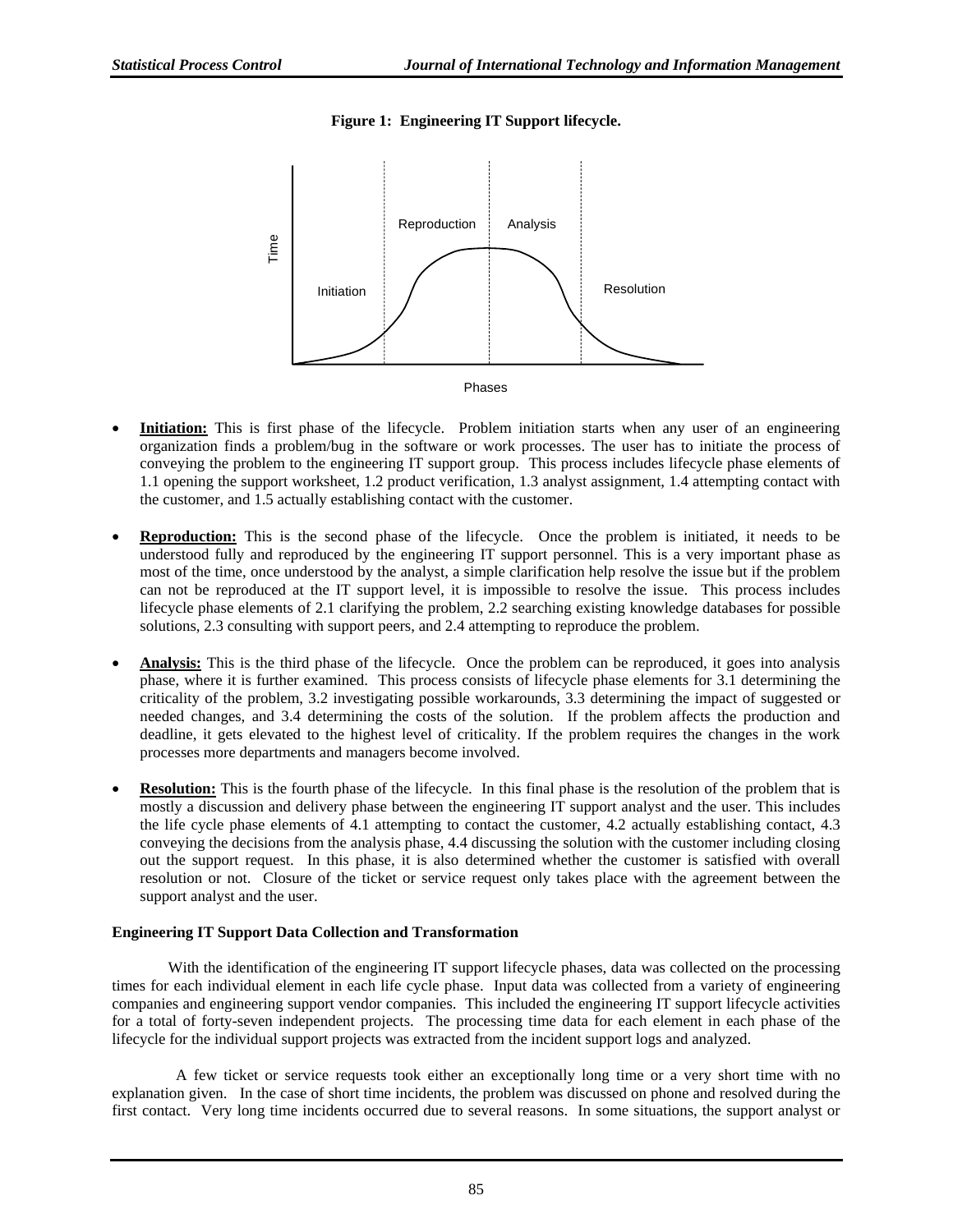# **Figure 1: Engineering IT Support lifecycle.**



- **Initiation:** This is first phase of the lifecycle. Problem initiation starts when any user of an engineering organization finds a problem/bug in the software or work processes. The user has to initiate the process of conveying the problem to the engineering IT support group. This process includes lifecycle phase elements of 1.1 opening the support worksheet, 1.2 product verification, 1.3 analyst assignment, 1.4 attempting contact with the customer, and 1.5 actually establishing contact with the customer.
- **Reproduction:** This is the second phase of the lifecycle. Once the problem is initiated, it needs to be understood fully and reproduced by the engineering IT support personnel. This is a very important phase as most of the time, once understood by the analyst, a simple clarification help resolve the issue but if the problem can not be reproduced at the IT support level, it is impossible to resolve the issue. This process includes lifecycle phase elements of 2.1 clarifying the problem, 2.2 searching existing knowledge databases for possible solutions, 2.3 consulting with support peers, and 2.4 attempting to reproduce the problem.
- **Analysis:** This is the third phase of the lifecycle. Once the problem can be reproduced, it goes into analysis phase, where it is further examined. This process consists of lifecycle phase elements for 3.1 determining the criticality of the problem, 3.2 investigating possible workarounds, 3.3 determining the impact of suggested or needed changes, and 3.4 determining the costs of the solution. If the problem affects the production and deadline, it gets elevated to the highest level of criticality. If the problem requires the changes in the work processes more departments and managers become involved.
- **Resolution:** This is the fourth phase of the lifecycle. In this final phase is the resolution of the problem that is mostly a discussion and delivery phase between the engineering IT support analyst and the user. This includes the life cycle phase elements of 4.1 attempting to contact the customer, 4.2 actually establishing contact, 4.3 conveying the decisions from the analysis phase, 4.4 discussing the solution with the customer including closing out the support request.In this phase, it is also determined whether the customer is satisfied with overall resolution or not. Closure of the ticket or service request only takes place with the agreement between the support analyst and the user.

## **Engineering IT Support Data Collection and Transformation**

With the identification of the engineering IT support lifecycle phases, data was collected on the processing times for each individual element in each life cycle phase. Input data was collected from a variety of engineering companies and engineering support vendor companies. This included the engineering IT support lifecycle activities for a total of forty-seven independent projects. The processing time data for each element in each phase of the lifecycle for the individual support projects was extracted from the incident support logs and analyzed.

 A few ticket or service requests took either an exceptionally long time or a very short time with no explanation given. In the case of short time incidents, the problem was discussed on phone and resolved during the first contact. Very long time incidents occurred due to several reasons. In some situations, the support analyst or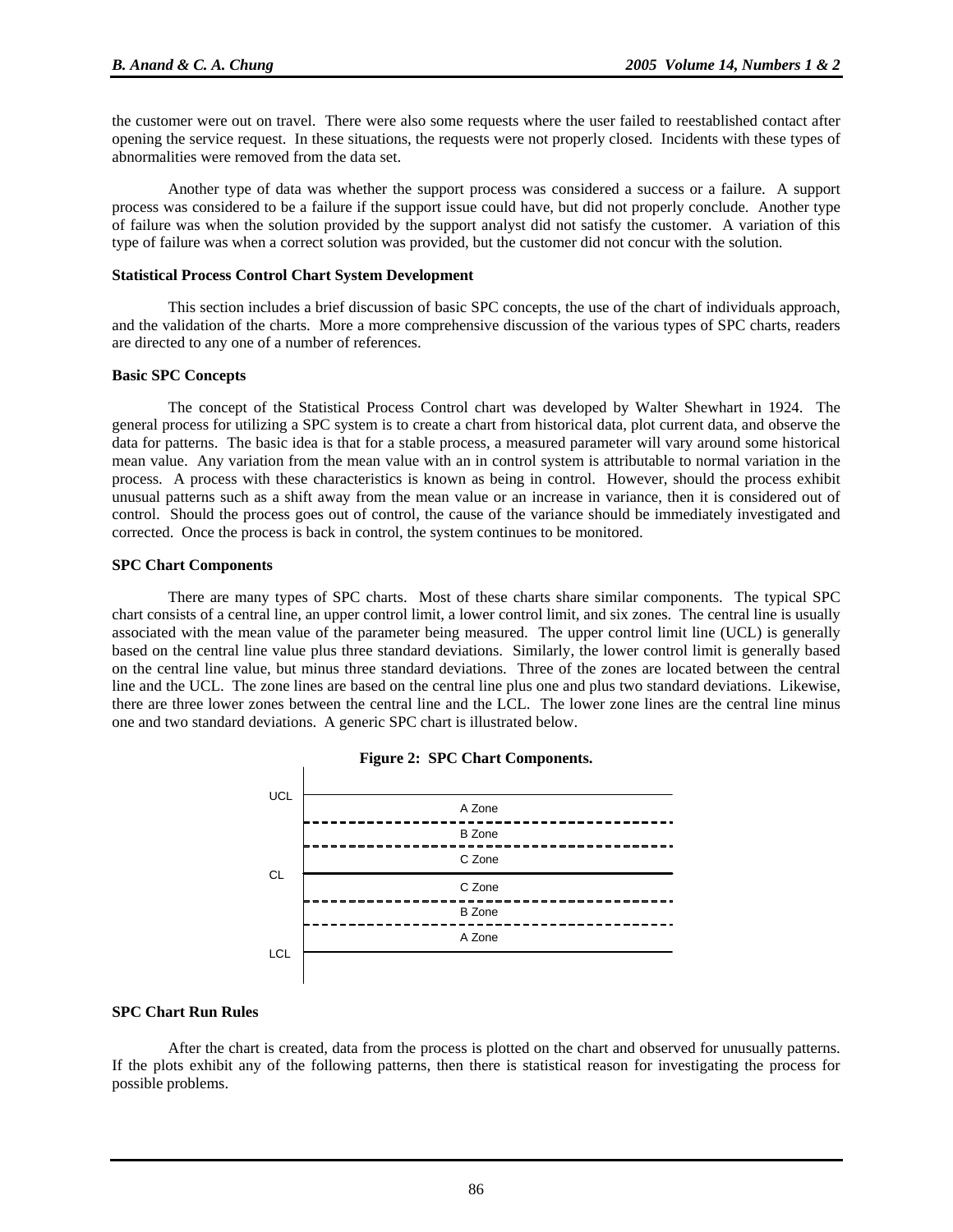the customer were out on travel. There were also some requests where the user failed to reestablished contact after opening the service request. In these situations, the requests were not properly closed. Incidents with these types of abnormalities were removed from the data set.

Another type of data was whether the support process was considered a success or a failure. A support process was considered to be a failure if the support issue could have, but did not properly conclude. Another type of failure was when the solution provided by the support analyst did not satisfy the customer. A variation of this type of failure was when a correct solution was provided, but the customer did not concur with the solution.

#### **Statistical Process Control Chart System Development**

 This section includes a brief discussion of basic SPC concepts, the use of the chart of individuals approach, and the validation of the charts. More a more comprehensive discussion of the various types of SPC charts, readers are directed to any one of a number of references.

#### **Basic SPC Concepts**

 The concept of the Statistical Process Control chart was developed by Walter Shewhart in 1924. The general process for utilizing a SPC system is to create a chart from historical data, plot current data, and observe the data for patterns. The basic idea is that for a stable process, a measured parameter will vary around some historical mean value. Any variation from the mean value with an in control system is attributable to normal variation in the process. A process with these characteristics is known as being in control. However, should the process exhibit unusual patterns such as a shift away from the mean value or an increase in variance, then it is considered out of control. Should the process goes out of control, the cause of the variance should be immediately investigated and corrected. Once the process is back in control, the system continues to be monitored.

#### **SPC Chart Components**

 There are many types of SPC charts. Most of these charts share similar components. The typical SPC chart consists of a central line, an upper control limit, a lower control limit, and six zones. The central line is usually associated with the mean value of the parameter being measured. The upper control limit line (UCL) is generally based on the central line value plus three standard deviations. Similarly, the lower control limit is generally based on the central line value, but minus three standard deviations. Three of the zones are located between the central line and the UCL. The zone lines are based on the central line plus one and plus two standard deviations. Likewise, there are three lower zones between the central line and the LCL. The lower zone lines are the central line minus one and two standard deviations. A generic SPC chart is illustrated below.





#### **SPC Chart Run Rules**

After the chart is created, data from the process is plotted on the chart and observed for unusually patterns. If the plots exhibit any of the following patterns, then there is statistical reason for investigating the process for possible problems.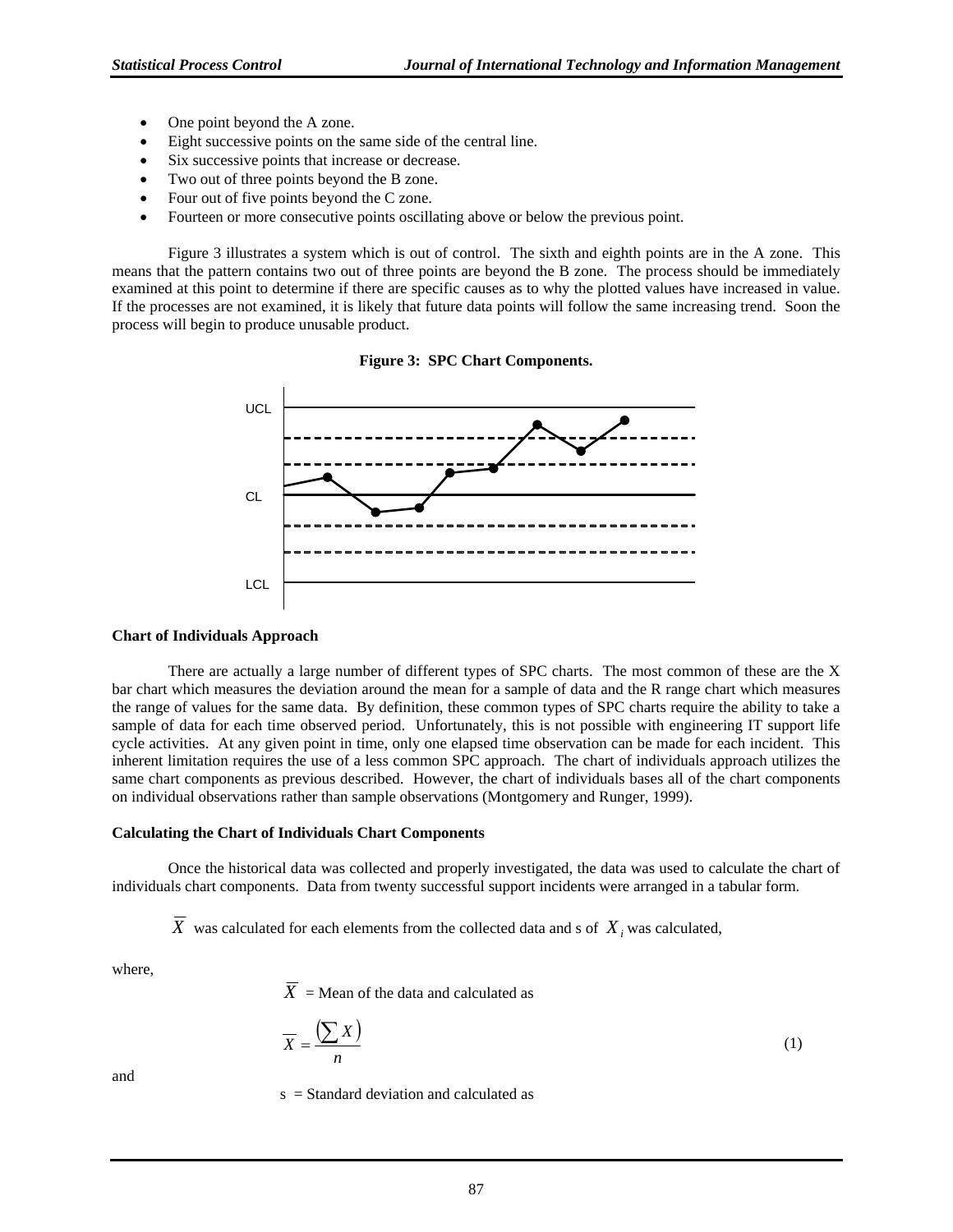- One point beyond the A zone.
- Eight successive points on the same side of the central line.
- Six successive points that increase or decrease.
- Two out of three points beyond the B zone.
- Four out of five points beyond the C zone.
- Fourteen or more consecutive points oscillating above or below the previous point.

Figure 3 illustrates a system which is out of control. The sixth and eighth points are in the A zone. This means that the pattern contains two out of three points are beyond the B zone. The process should be immediately examined at this point to determine if there are specific causes as to why the plotted values have increased in value. If the processes are not examined, it is likely that future data points will follow the same increasing trend. Soon the process will begin to produce unusable product.





#### **Chart of Individuals Approach**

 There are actually a large number of different types of SPC charts. The most common of these are the X bar chart which measures the deviation around the mean for a sample of data and the R range chart which measures the range of values for the same data. By definition, these common types of SPC charts require the ability to take a sample of data for each time observed period. Unfortunately, this is not possible with engineering IT support life cycle activities. At any given point in time, only one elapsed time observation can be made for each incident. This inherent limitation requires the use of a less common SPC approach. The chart of individuals approach utilizes the same chart components as previous described. However, the chart of individuals bases all of the chart components on individual observations rather than sample observations (Montgomery and Runger, 1999).

#### **Calculating the Chart of Individuals Chart Components**

 Once the historical data was collected and properly investigated, the data was used to calculate the chart of individuals chart components. Data from twenty successful support incidents were arranged in a tabular form.

 $\overline{X}$  was calculated for each elements from the collected data and s of  $X_i$  was calculated,

where,

 $\overline{X}$  = Mean of the data and calculated as

$$
\overline{X} = \frac{\left(\sum X\right)}{n} \tag{1}
$$

and

s = Standard deviation and calculated as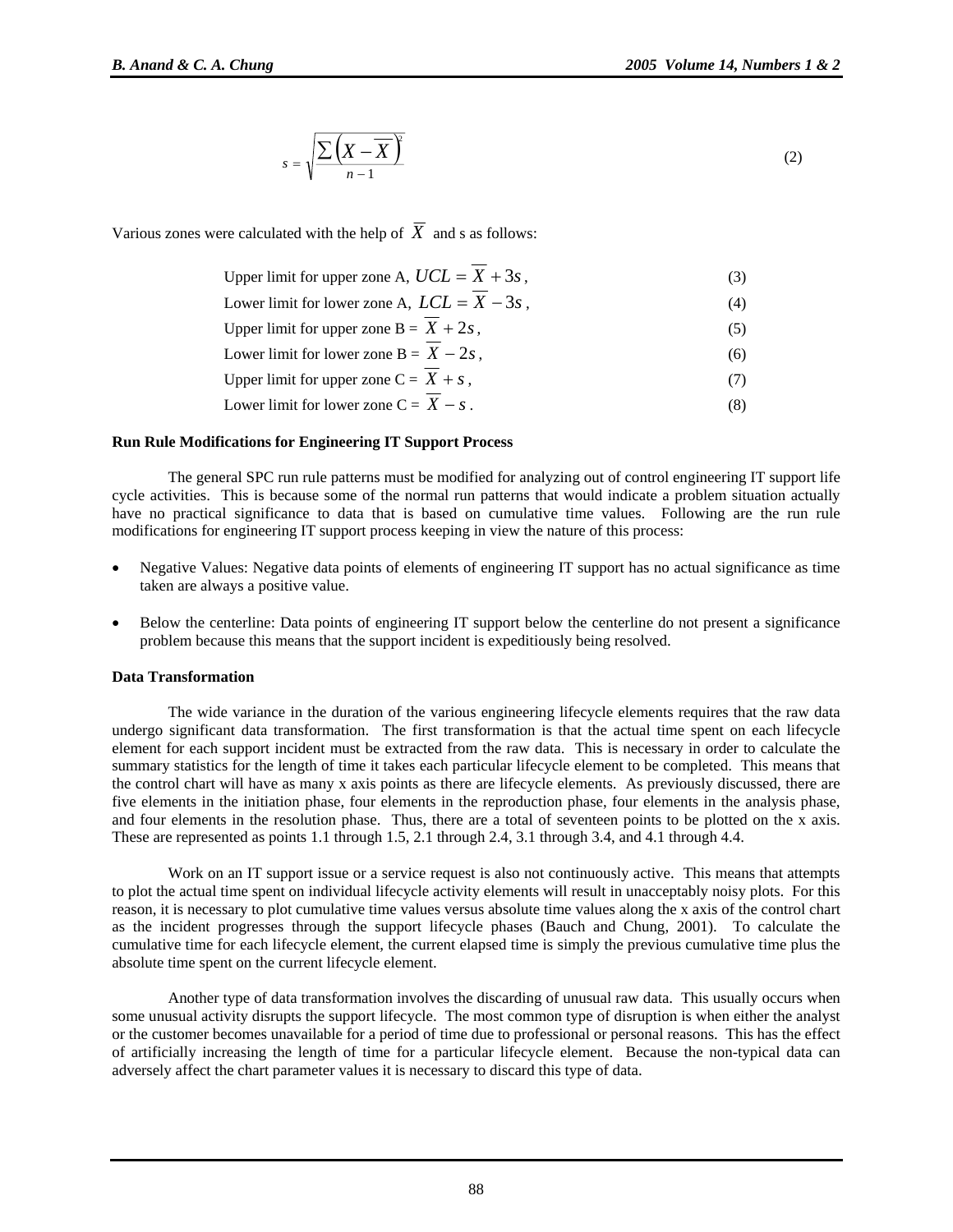$$
s = \sqrt{\frac{\sum (X - \overline{X})^2}{n-1}}
$$
 (2)

Various zones were calculated with the help of  $\overline{X}$  and s as follows:

| Upper limit for upper zone A, $UCL = X + 3s$ , | (3) |
|------------------------------------------------|-----|
| Lower limit for lower zone A, $LCL = X - 3s$ , | (4) |
| Upper limit for upper zone $B = X + 2s$ ,      | (5) |
| Lower limit for lower zone $B = X - 2s$ ,      | (6) |
| Upper limit for upper zone $C = X + s$ ,       |     |
| Lower limit for lower zone $C = X - s$ .       |     |

#### **Run Rule Modifications for Engineering IT Support Process**

 The general SPC run rule patterns must be modified for analyzing out of control engineering IT support life cycle activities. This is because some of the normal run patterns that would indicate a problem situation actually have no practical significance to data that is based on cumulative time values. Following are the run rule modifications for engineering IT support process keeping in view the nature of this process:

- Negative Values: Negative data points of elements of engineering IT support has no actual significance as time taken are always a positive value.
- Below the centerline: Data points of engineering IT support below the centerline do not present a significance problem because this means that the support incident is expeditiously being resolved.

#### **Data Transformation**

The wide variance in the duration of the various engineering lifecycle elements requires that the raw data undergo significant data transformation. The first transformation is that the actual time spent on each lifecycle element for each support incident must be extracted from the raw data. This is necessary in order to calculate the summary statistics for the length of time it takes each particular lifecycle element to be completed. This means that the control chart will have as many x axis points as there are lifecycle elements. As previously discussed, there are five elements in the initiation phase, four elements in the reproduction phase, four elements in the analysis phase, and four elements in the resolution phase. Thus, there are a total of seventeen points to be plotted on the x axis. These are represented as points 1.1 through 1.5, 2.1 through 2.4, 3.1 through 3.4, and 4.1 through 4.4.

Work on an IT support issue or a service request is also not continuously active. This means that attempts to plot the actual time spent on individual lifecycle activity elements will result in unacceptably noisy plots. For this reason, it is necessary to plot cumulative time values versus absolute time values along the x axis of the control chart as the incident progresses through the support lifecycle phases (Bauch and Chung, 2001). To calculate the cumulative time for each lifecycle element, the current elapsed time is simply the previous cumulative time plus the absolute time spent on the current lifecycle element.

Another type of data transformation involves the discarding of unusual raw data. This usually occurs when some unusual activity disrupts the support lifecycle. The most common type of disruption is when either the analyst or the customer becomes unavailable for a period of time due to professional or personal reasons. This has the effect of artificially increasing the length of time for a particular lifecycle element. Because the non-typical data can adversely affect the chart parameter values it is necessary to discard this type of data.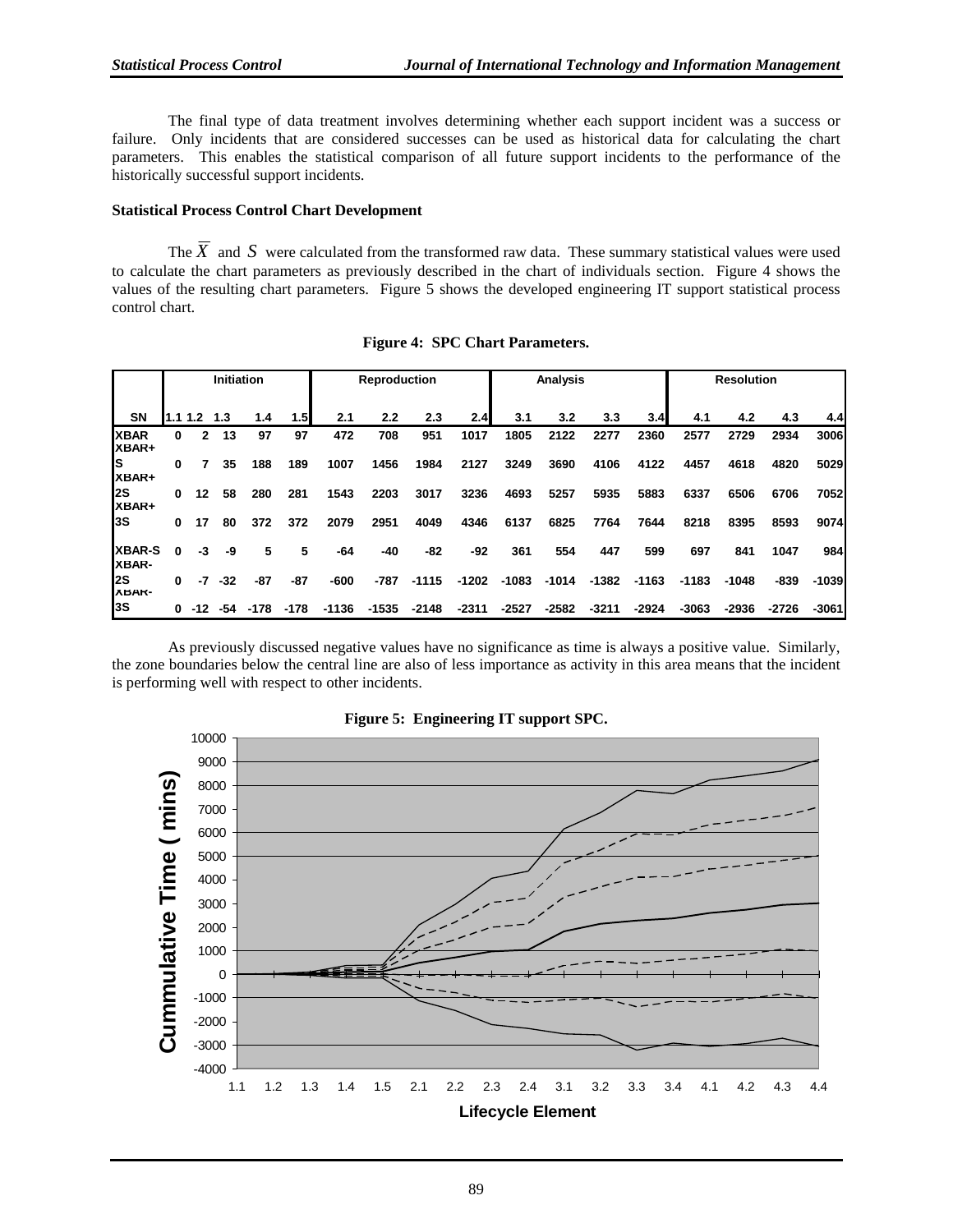The final type of data treatment involves determining whether each support incident was a success or failure. Only incidents that are considered successes can be used as historical data for calculating the chart parameters. This enables the statistical comparison of all future support incidents to the performance of the historically successful support incidents.

#### **Statistical Process Control Chart Development**

The  $\overline{X}$  and  $S$  were calculated from the transformed raw data. These summary statistical values were used to calculate the chart parameters as previously described in the chart of individuals section. Figure 4 shows the values of the resulting chart parameters. Figure 5 shows the developed engineering IT support statistical process control chart.

|                        | <b>Initiation</b> |      |       |      |        | <b>Reproduction</b> |         |         | <b>Analysis</b> |         |         | <b>Resolution</b> |         |         |         |         |         |
|------------------------|-------------------|------|-------|------|--------|---------------------|---------|---------|-----------------|---------|---------|-------------------|---------|---------|---------|---------|---------|
| <b>SN</b>              | 1.1               | 1.2  | 1.3   | 1.4  | 1.5    | 2.1                 | 2.2     | 2.3     | 2.4             | 3.1     | 3.2     | 3.3               | 3.4     | 4.1     | 4.2     | 4.3     | 4.4     |
| <b>XBAR</b><br>XBAR+   | 0                 | 2    | 13    | 97   | 97     | 472                 | 708     | 951     | 1017            | 1805    | 2122    | 2277              | 2360    | 2577    | 2729    | 2934    | 3006    |
| ls<br>XBAR+            | 0                 |      | 35    | 188  | 189    | 1007                | 1456    | 1984    | 2127            | 3249    | 3690    | 4106              | 4122    | 4457    | 4618    | 4820    | 5029    |
| l2S<br>XBAR+           | $\Omega$          | 12   | 58    | 280  | 281    | 1543                | 2203    | 3017    | 3236            | 4693    | 5257    | 5935              | 5883    | 6337    | 6506    | 6706    | 7052    |
| I3S                    | $\bf{0}$          | 17   | 80    | 372  | 372    | 2079                | 2951    | 4049    | 4346            | 6137    | 6825    | 7764              | 7644    | 8218    | 8395    | 8593    | 9074    |
| <b>XBAR-S</b><br>XBAR- | $\mathbf{0}$      | -3   | -9    | 5    | 5      | -64                 | $-40$   | $-82$   | -92             | 361     | 554     | 447               | 599     | 697     | 841     | 1047    | 984     |
| l2S<br><b>ABAK-</b>    | $\mathbf{0}$      | $-7$ | $-32$ | -87  | -87    | $-600$              | $-787$  | $-1115$ | $-1202$         | $-1083$ | $-1014$ | -1382             | $-1163$ | $-1183$ | $-1048$ | -839    | $-1039$ |
| l3S                    | $\mathbf{0}$      | -12  | -54   | -178 | $-178$ | $-1136$             | $-1535$ | $-2148$ | $-2311$         | $-2527$ | $-2582$ | $-3211$           | $-2924$ | $-3063$ | $-2936$ | $-2726$ | $-3061$ |

 As previously discussed negative values have no significance as time is always a positive value. Similarly, the zone boundaries below the central line are also of less importance as activity in this area means that the incident is performing well with respect to other incidents.



## **Figure 5: Engineering IT support SPC.**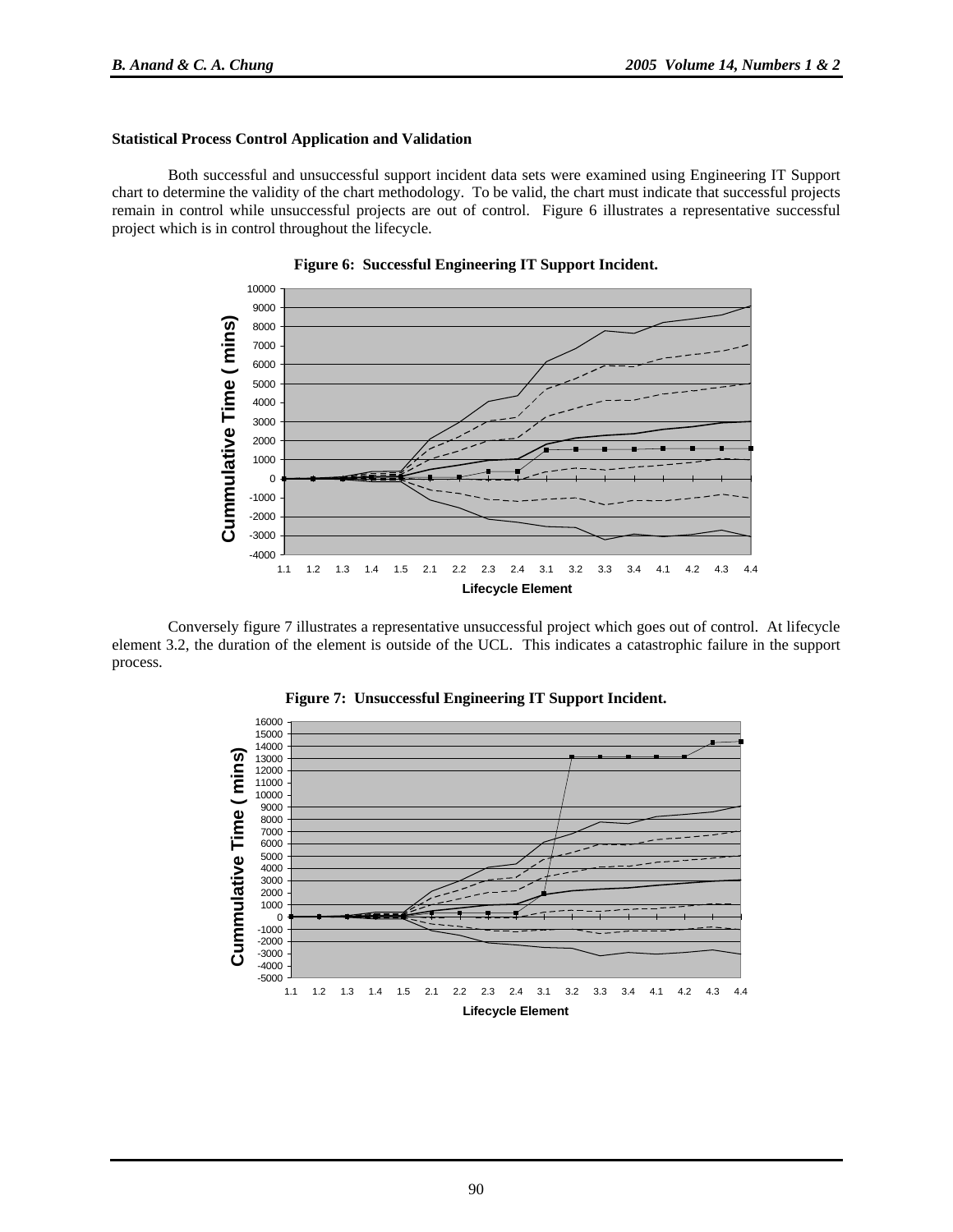#### **Statistical Process Control Application and Validation**

 Both successful and unsuccessful support incident data sets were examined using Engineering IT Support chart to determine the validity of the chart methodology. To be valid, the chart must indicate that successful projects remain in control while unsuccessful projects are out of control. Figure 6 illustrates a representative successful project which is in control throughout the lifecycle.



**Figure 6: Successful Engineering IT Support Incident.** 

Conversely figure 7 illustrates a representative unsuccessful project which goes out of control. At lifecycle element 3.2, the duration of the element is outside of the UCL. This indicates a catastrophic failure in the support process.

**Figure 7: Unsuccessful Engineering IT Support Incident.** 

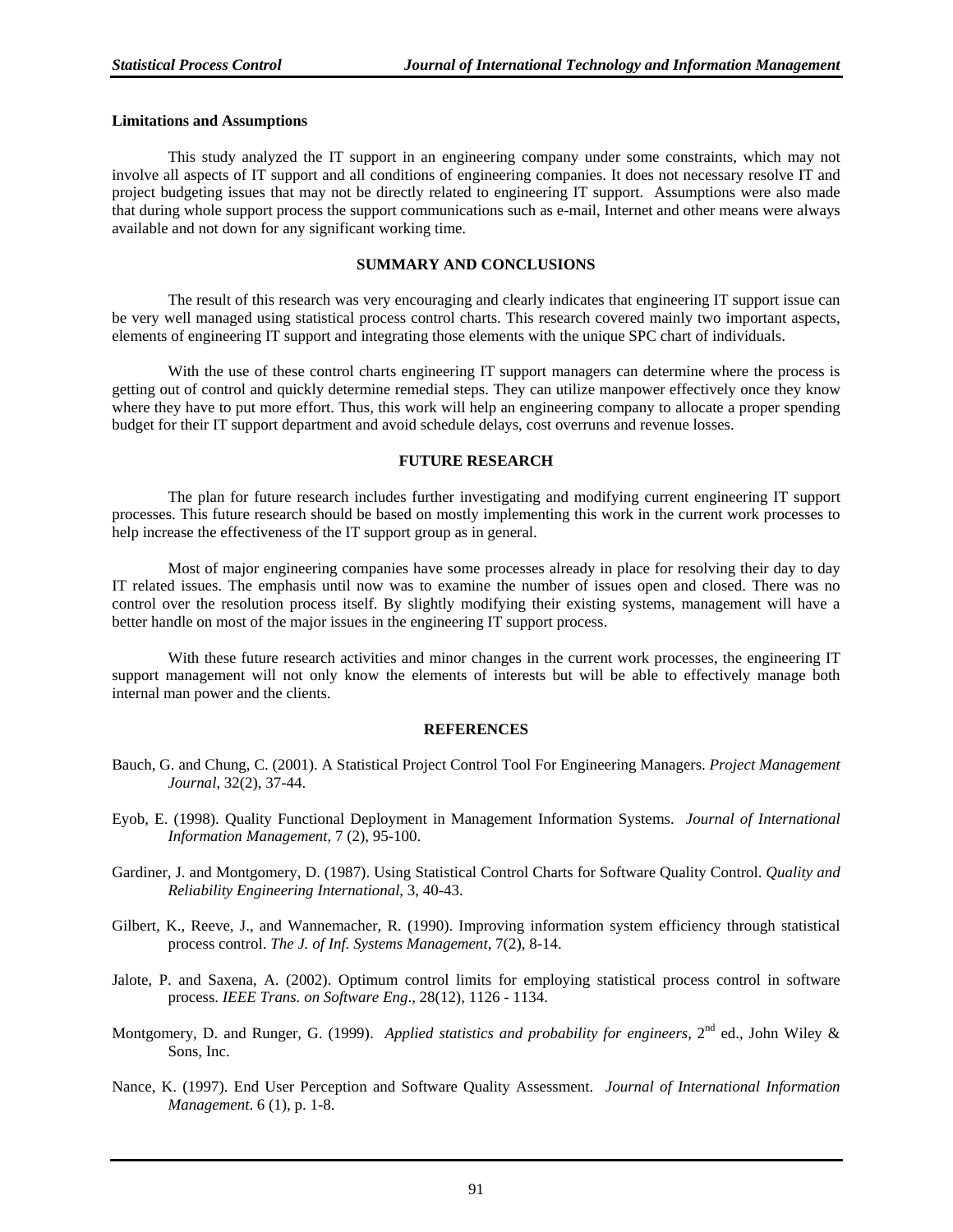#### **Limitations and Assumptions**

This study analyzed the IT support in an engineering company under some constraints, which may not involve all aspects of IT support and all conditions of engineering companies. It does not necessary resolve IT and project budgeting issues that may not be directly related to engineering IT support. Assumptions were also made that during whole support process the support communications such as e-mail, Internet and other means were always available and not down for any significant working time.

#### **SUMMARY AND CONCLUSIONS**

The result of this research was very encouraging and clearly indicates that engineering IT support issue can be very well managed using statistical process control charts. This research covered mainly two important aspects, elements of engineering IT support and integrating those elements with the unique SPC chart of individuals.

With the use of these control charts engineering IT support managers can determine where the process is getting out of control and quickly determine remedial steps. They can utilize manpower effectively once they know where they have to put more effort. Thus, this work will help an engineering company to allocate a proper spending budget for their IT support department and avoid schedule delays, cost overruns and revenue losses.

#### **FUTURE RESEARCH**

The plan for future research includes further investigating and modifying current engineering IT support processes. This future research should be based on mostly implementing this work in the current work processes to help increase the effectiveness of the IT support group as in general.

Most of major engineering companies have some processes already in place for resolving their day to day IT related issues. The emphasis until now was to examine the number of issues open and closed. There was no control over the resolution process itself. By slightly modifying their existing systems, management will have a better handle on most of the major issues in the engineering IT support process.

With these future research activities and minor changes in the current work processes, the engineering IT support management will not only know the elements of interests but will be able to effectively manage both internal man power and the clients.

#### **REFERENCES**

- Bauch, G. and Chung, C. (2001). A Statistical Project Control Tool For Engineering Managers. *Project Management Journal*, 32(2), 37-44.
- Eyob, E. (1998). Quality Functional Deployment in Management Information Systems. *Journal of International Information Management*, 7 (2), 95-100.
- Gardiner, J. and Montgomery, D. (1987). Using Statistical Control Charts for Software Quality Control. *Quality and Reliability Engineering International*, 3, 40-43.
- Gilbert, K., Reeve, J., and Wannemacher, R. (1990). Improving information system efficiency through statistical process control. *The J. of Inf. Systems Management*, 7(2), 8-14.
- Jalote, P. and Saxena, A. (2002). Optimum control limits for employing statistical process control in software process. *IEEE Trans. on Software Eng*., 28(12), 1126 - 1134.
- Montgomery, D. and Runger, G. (1999). *Applied statistics and probability for engineers*, 2<sup>nd</sup> ed., John Wiley & Sons, Inc.
- Nance, K. (1997). End User Perception and Software Quality Assessment. *Journal of International Information Management*. 6 (1), p. 1-8.